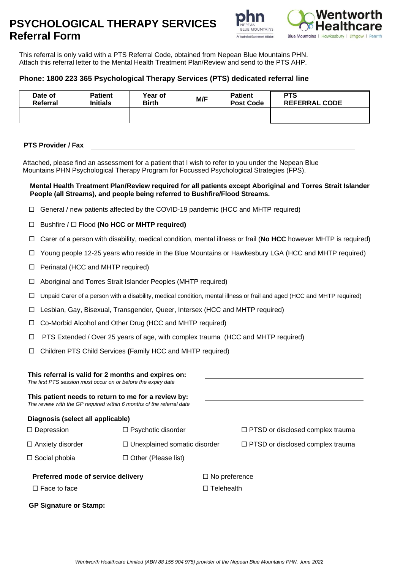# **PSYCHOLOGICAL THERAPY SERVICES Referral Form**





This referral is only valid with a PTS Referral Code, obtained from Nepean Blue Mountains PHN. Attach this referral letter to the Mental Health Treatment Plan/Review and send to the PTS AHP.

# **Phone: 1800 223 365 Psychological Therapy Services (PTS) dedicated referral line**

| Date of  | <b>Patient</b>  | Year of      | M/F | <b>Patient</b>   | <b>PTS</b>           |
|----------|-----------------|--------------|-----|------------------|----------------------|
| Referral | <b>Initials</b> | <b>Birth</b> |     | <b>Post Code</b> | <b>REFERRAL CODE</b> |
|          |                 |              |     |                  |                      |

## **PTS Provider / Fax**

Attached, please find an assessment for a patient that I wish to refer to you under the Nepean Blue Mountains PHN Psychological Therapy Program for Focussed Psychological Strategies (FPS).

## **Mental Health Treatment Plan/Review required for all patients except Aboriginal and Torres Strait Islander People (all Streams), and people being referred to Bushfire/Flood Streams.**

- $\Box$  General / new patients affected by the COVID-19 pandemic (HCC and MHTP required)
- Bushfire / Flood **(No HCC or MHTP required)**
- Carer of a person with disability, medical condition, mental illness or frail (**No HCC** however MHTP is required)
- Young people 12-25 years who reside in the Blue Mountains or Hawkesbury LGA (HCC and MHTP required)
- $\Box$  Perinatal (HCC and MHTP required)
- Aboriginal and Torres Strait Islander Peoples (MHTP required)
- $\Box$  Unpaid Carer of a person with a disability, medical condition, mental illness or frail and aged (HCC and MHTP required)
- Lesbian, Gay, Bisexual, Transgender, Queer, Intersex (HCC and MHTP required)
- Co-Morbid Alcohol and Other Drug (HCC and MHTP required)
- $\Box$  PTS Extended / Over 25 years of age, with complex trauma (HCC and MHTP required)
- Children PTS Child Services **(**Family HCC and MHTP required)

| This referral is valid for 2 months and expires on:<br>The first PTS session must occur on or before the expiry date        |                                     |                      |                                         |
|-----------------------------------------------------------------------------------------------------------------------------|-------------------------------------|----------------------|-----------------------------------------|
| This patient needs to return to me for a review by:<br>The review with the GP required within 6 months of the referral date |                                     |                      |                                         |
| Diagnosis (select all applicable)                                                                                           |                                     |                      |                                         |
| $\Box$ Depression                                                                                                           | $\Box$ Psychotic disorder           |                      | $\Box$ PTSD or disclosed complex trauma |
| $\Box$ Anxiety disorder                                                                                                     | $\Box$ Unexplained somatic disorder |                      | $\Box$ PTSD or disclosed complex trauma |
| $\Box$ Social phobia                                                                                                        | $\Box$ Other (Please list)          |                      |                                         |
| Preferred mode of service delivery                                                                                          |                                     | $\Box$ No preference |                                         |
| $\Box$ Face to face                                                                                                         |                                     | $\Box$ Telehealth    |                                         |
| <b>GP Signature or Stamp:</b>                                                                                               |                                     |                      |                                         |